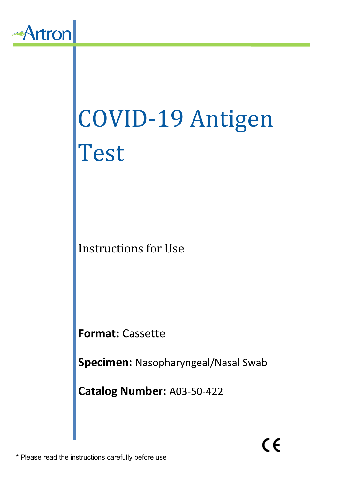

# COVID-19 Antigen Test<sup>-</sup>

Instructions for Use

**Format:** Cassette

**Specimen:** Nasopharyngeal/Nasal Swab

**Catalog Number:** A03-50-422

\* Please read the instructions carefully before use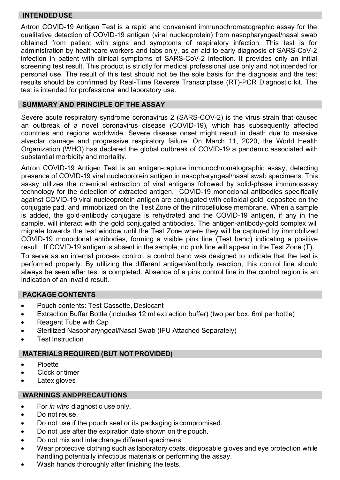## **INTENDEDUSE**

Artron COVID-19 Antigen Test is a rapid and convenient immunochromatographic assay for the qualitative detection of COVID-19 antigen (viral nucleoprotein) from nasopharyngeal/nasal swab obtained from patient with signs and symptoms of respiratory infection. This test is for administration by healthcare workers and labs only, as an aid to early diagnosis of SARS-CoV-2 infection in patient with clinical symptoms of SARS-CoV-2 infection. It provides only an initial screening test result. This product is strictly for medical professional use only and not intended for personal use. The result of this test should not be the sole basis for the diagnosis and the test results should be confirmed by Real-Time Reverse Transcriptase (RT)-PCR Diagnostic kit. The test is intended for professional and laboratory use.

## **SUMMARY AND PRINCIPLE OF THE ASSAY**

Severe acute respiratory syndrome coronavirus 2 (SARS-COV-2) is the virus strain that caused an outbreak of a novel coronavirus disease (COVID-19), which has subsequently affected countries and regions worldwide. Severe disease onset might result in death due to massive alveolar damage and progressive respiratory failure. On March 11, 2020, the World Health Organization (WHO) has declared the global outbreak of COVID-19 a pandemic associated with substantial morbidity and mortality.

Artron COVID-19 Antigen Test is an antigen-capture immunochromatographic assay, detecting presence of COVID-19 viral nucleoprotein antigen in nasopharyngeal/nasal swab specimens. This assay utilizes the chemical extraction of viral antigens followed by solid-phase immunoassay technology for the detection of extracted antigen. COVID-19 monoclonal antibodies specifically against COVID-19 viral nucleoprotein antigen are conjugated with colloidal gold, deposited on the conjugate pad, and immobilized on the Test Zone of the nitrocellulose membrane. When a sample is added, the gold-antibody conjugate is rehydrated and the COVID-19 antigen, if any in the sample, will interact with the gold conjugated antibodies. The antigen-antibody-gold complex will migrate towards the test window until the Test Zone where they will be captured by immobilized COVID-19 monoclonal antibodies, forming a visible pink line (Test band) indicating a positive result. If COVID-19 antigen is absent in the sample, no pink line will appear in the Test Zone (T). To serve as an internal process control, a control band was designed to indicate that the test is

performed properly. By utilizing the different antigen/antibody reaction, this control line should always be seen after test is completed. Absence of a pink control line in the control region is an indication of an invalid result.

# **PACKAGE CONTENTS**

- Pouch contents: Test Cassette, Desiccant
- Extraction Buffer Bottle (includes 12 ml extraction buffer) (two per box, 6ml per bottle)
- Reagent Tube with Cap
- Sterilized Nasopharyngeal/Nasal Swab (IFU Attached Separately)
- **Test Instruction**

## **MATERIALS REQUIRED (BUT NOT PROVIDED)**

- **Pipette**
- Clock or timer
- Latex gloves

# **WARNINGS ANDPRECAUTIONS**

- For *in vitro* diagnostic use only.
- Do not reuse.
- Do not use if the pouch seal or its packaging iscompromised.
- Do not use after the expiration date shown on the pouch.
- Do not mix and interchange different specimens.
- Wear protective clothing such as laboratory coats, disposable gloves and eye protection while handling potentially infectious materials or performing the assay.
- Wash hands thoroughly after finishing the tests.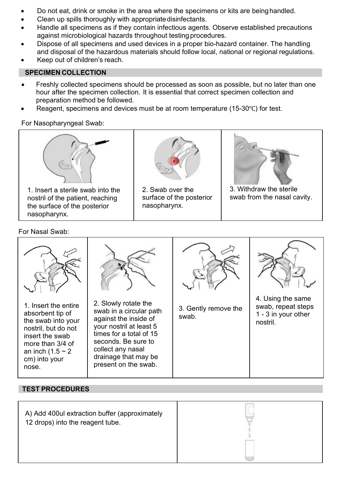- Do not eat, drink or smoke in the area where the specimens or kits are beinghandled.
- Clean up spills thoroughly with appropriatedisinfectants.
- Handle all specimens as if they contain infectious agents. Observe established precautions against microbiological hazards throughout testing procedures.
- Dispose of all specimens and used devices in a proper bio-hazard container. The handling and disposal of the hazardous materials should follow local, national or regional regulations.
- Keep out of children's reach.

# **SPECIMEN COLLECTION**

- Freshly collected specimens should be processed as soon as possible, but no later than one hour after the specimen collection. It is essential that correct specimen collection and preparation method be followed.
- Reagent, specimens and devices must be at room temperature (15-30℃) for test.

For Nasopharyngeal Swab:



For Nasal Swab:



# **TEST PROCEDURES**

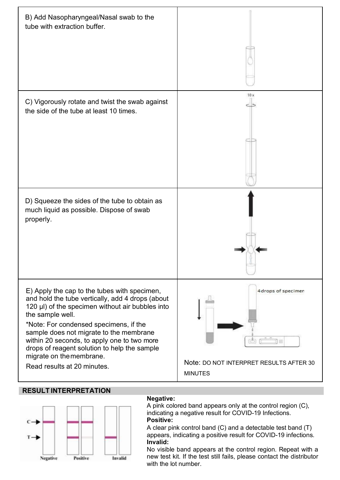

## **RESULT INTERPRETATION**



### **Negative:**

A pink colored band appears only at the control region (C), indicating a negative result for COVID-19 Infections. **Positive:**

A clear pink control band (C) and a detectable test band (T) appears, indicating a positive result for COVID-19 infections. **Invalid:**

No visible band appears at the control region. Repeat with a new test kit. If the test still fails, please contact the distributor with the lot number.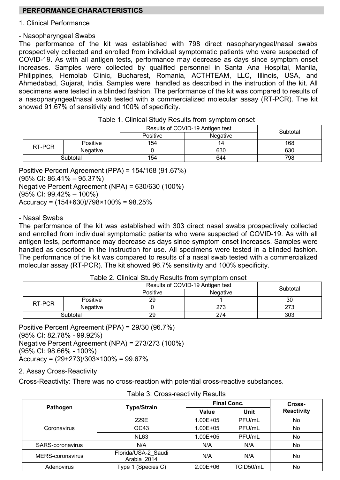# **PERFORMANCE CHARACTERISTICS**

#### 1. Clinical Performance

#### - Nasopharyngeal Swabs

The performance of the kit was established with 798 direct nasopharyngeal/nasal swabs prospectively collected and enrolled from individual symptomatic patients who were suspected of COVID-19. As with all antigen tests, performance may decrease as days since symptom onset increases. Samples were collected by qualified personnel in Santa Ana Hospital, Manila, Philippines, Hemolab Clinic, Bucharest, Romania, ACTHTEAM, LLC, Illinois, USA, and Ahmedabad, Gujarat, India. Samples were handled as described in the instruction of the kit. All specimens were tested in a blinded fashion. The performance of the kit was compared to results of a nasopharyngeal/nasal swab tested with a commercialized molecular assay (RT-PCR). The kit showed 91.67% of sensitivity and 100% of specificity.

|          |          | Results of COVID-19 Antigen test | Subtotal |     |
|----------|----------|----------------------------------|----------|-----|
|          |          | Positive                         | Negative |     |
| RT-PCR   | Positive | 154                              | 14       | 168 |
|          | Negative |                                  | 630      | 630 |
| Subtotal |          | 154                              | 644      | 798 |

|  |  |  |  |  |  | Table 1. Clinical Study Results from symptom onset |  |
|--|--|--|--|--|--|----------------------------------------------------|--|
|--|--|--|--|--|--|----------------------------------------------------|--|

Positive Percent Agreement (PPA) = 154/168 (91.67%) (95% CI: 86.41% – 95.37%)

Negative Percent Agreement (NPA) = 630/630 (100%)

(95% CI: 99.42% – 100%)

Accuracy = (154+630)/798×100% = 98.25%

#### - Nasal Swabs

The performance of the kit was established with 303 direct nasal swabs prospectively collected and enrolled from individual symptomatic patients who were suspected of COVID-19. As with all antigen tests, performance may decrease as days since symptom onset increases. Samples were handled as described in the instruction for use. All specimens were tested in a blinded fashion. The performance of the kit was compared to results of a nasal swab tested with a commercialized molecular assay (RT-PCR). The kit showed 96.7% sensitivity and 100% specificity.

|          |          | Results of COVID-19 Antigen test | Subtotal |     |
|----------|----------|----------------------------------|----------|-----|
|          |          | Positive                         | Negative |     |
| RT-PCR   | Positive | 29                               |          | 30  |
|          | Negative |                                  | 273      | 273 |
| Subtotal |          | 29                               | 274      | 303 |
|          |          |                                  |          |     |

Table 2. Clinical Study Results from symptom onset

Positive Percent Agreement (PPA) = 29/30 (96.7%) (95% CI: 82.78% - 99.92%) Negative Percent Agreement (NPA) = 273/273 (100%) (95% CI: 98.66% - 100%) Accuracy = (29+273)/303×100% = 99.67%

2. Assay Cross-Reactivity

Cross-Reactivity: There was no cross-reaction with potential cross-reactive substances.

|                  |                                    | Final Conc.  | Cross-    |            |  |
|------------------|------------------------------------|--------------|-----------|------------|--|
| Pathogen         | <b>Type/Strain</b>                 | Value        | Unit      | Reactivity |  |
|                  | 229E                               | $1.00E + 05$ | PFU/mL    | No         |  |
| Coronavirus      | OC43                               | $1.00E + 05$ | PFU/mL    | No         |  |
|                  | <b>NL63</b>                        | $1.00E + 05$ | PFU/mL    | No         |  |
| SARS-coronavirus | N/A                                | N/A          | N/A       | No         |  |
| MERS-coronavirus | Florida/USA-2 Saudi<br>Arabia 2014 | N/A          | N/A       | No         |  |
| Adenovirus       | Type 1 (Species C)                 | $2.00E + 06$ | TCID50/mL | No         |  |

| Table 3: Cross-reactivity Results |
|-----------------------------------|
|-----------------------------------|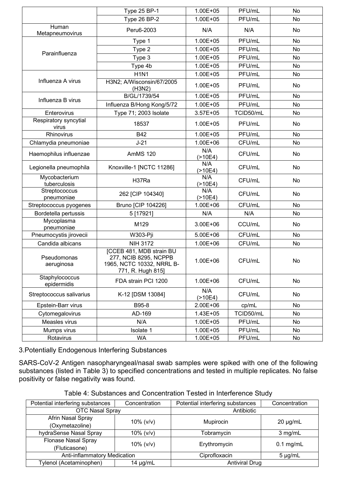|                                | Type 25 BP-1                                                                                        | $1.00E + 05$     | PFU/mL    | No        |
|--------------------------------|-----------------------------------------------------------------------------------------------------|------------------|-----------|-----------|
|                                | <b>Type 26 BP-2</b>                                                                                 | $1.00E + 05$     | PFU/mL    | No        |
| Human<br>Metapneumovirus       | Peru6-2003                                                                                          | N/A              | N/A       | <b>No</b> |
|                                | Type 1                                                                                              | $1.00E + 05$     | PFU/mL    | No        |
| Parainfluenza                  | Type 2                                                                                              | $1.00E + 05$     | PFU/mL    | No        |
|                                | Type 3                                                                                              | $1.00E + 05$     | PFU/mL    | <b>No</b> |
|                                | Type 4b                                                                                             | $1.00E + 05$     | PFU/mL    | <b>No</b> |
|                                | <b>H1N1</b>                                                                                         | $1.00E + 05$     | PFU/mL    | No        |
| Influenza A virus              | H3N2; A/Wisconsin/67/2005<br>(H3N2)                                                                 | $1.00F + 0.5$    | PFU/mL    | No        |
| Influenza B virus              | B/GL/1739/54                                                                                        | 1.00E+05         | PFU/mL    | No        |
|                                | Influenza B/Hong Kong/5/72                                                                          | $1.00E + 05$     | PFU/mL    | No        |
| Enterovirus                    | Type 71; 2003 Isolate                                                                               | $3.57E + 05$     | TCID50/mL | No        |
| Respiratory syncytial<br>virus | 18537                                                                                               | 1.00E+05         | PFU/mL    | No        |
| Rhinovirus                     | <b>B42</b>                                                                                          | $1.00E + 05$     | PFU/mL    | No        |
| Chlamydia pneumoniae           | $J-21$                                                                                              | 1.00E+06         | CFU/mL    | No        |
| Haemophilus influenzae         | AmMS 120                                                                                            | N/A<br>( > 10E4) | CFU/mL    | No        |
| Legionella pneumophila         | Knoxville-1 [NCTC 11286]                                                                            | N/A<br>( > 10E4) | CFU/mL    | No        |
| Mycobacterium<br>tuberculosis  | H37Ra                                                                                               | N/A<br>( > 10E4) | CFU/mL    | No        |
| Streptococcus<br>pneumoniae    | 262 [CIP 104340]                                                                                    | N/A<br>( > 10E4) | CFU/mL    | No        |
| Streptococcus pyogenes         | Bruno [CIP 104226]                                                                                  | 1.00E+06         | CFU/mL    | No        |
| Bordetella pertussis           | 5 [17921]                                                                                           | N/A              | N/A       | No        |
| Mycoplasma<br>pneumoniae       | M129                                                                                                | 3.00E+06         | CCU/mL    | No        |
| Pneumocystis jirovecii         | W303-Pji                                                                                            | $5.00E + 06$     | CFU/mL    | No        |
| Candida albicans               | <b>NIH 3172</b>                                                                                     | 1.00E+06         | CFU/mL    | No        |
| Pseudomonas<br>aeruginosa      | ICCEB 481, MDB strain BU<br>277, NCIB 8295, NCPPB<br>1965. NCTC 10332. NRRL B-<br>771, R. Hugh 815] | $1.00E + 06$     | CFU/mL    | No        |
| Staphylococcus<br>epidermidis  | FDA strain PCI 1200                                                                                 | $1.00E + 06$     | CFU/mL    | <b>No</b> |
| Streptococcus salivarius       | K-12 [DSM 13084]                                                                                    | N/A<br>( > 10E4) | CFU/mL    | No        |
| Epstein-Barr virus             | B95-8                                                                                               | 2.00E+06         | cp/mL     | No        |
| Cytomegalovirus                | AD-169                                                                                              | $1.43E + 05$     | TCID50/mL | No        |
| Measles virus                  | N/A                                                                                                 | 1.00E+05         | PFU/mL    | No        |
| Mumps virus                    | Isolate 1                                                                                           | $1.00E + 05$     | PFU/mL    | No        |
| Rotavirus                      | <b>WA</b>                                                                                           | $1.00E + 05$     | PFU/mL    | No        |

3.Potentially Endogenous Interfering Substances

SARS-CoV-2 Antigen nasopharyngeal/nasal swab samples were spiked with one of the following substances (listed in Table 3) to specified concentrations and tested in multiple replicates. No false positivity or false negativity was found.

| Potential interfering substances | Concentration    | Potential interfering substances<br>Concentration |               |
|----------------------------------|------------------|---------------------------------------------------|---------------|
| OTC Nasal Spray                  |                  | Antibiotic                                        |               |
| Afrin Nasal Spray                | $10\%$ ( $v/v$ ) | Mupirocin                                         | $20 \mu q/mL$ |
| (Oxymetazoline)                  |                  |                                                   |               |
| hydraSense Nasal Spray           | $10\%$ ( $v/v$ ) | Tobramvcin                                        | 3 mg/mL       |
| Flonase Nasal Spray              | $10\%$ ( $v/v$ ) | Erythromycin                                      | $0.1$ mg/mL   |
| (Fluticasone)                    |                  |                                                   |               |
| Anti-inflammatory Medication     |                  | Ciprofloxacin                                     | $5 \mu q/mL$  |
| [vlenol (Acetaminophen)          | $14 \mu q/mL$    | <b>Antiviral Drug</b>                             |               |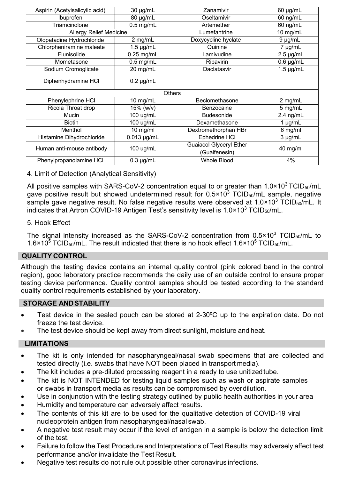| Aspirin (Acetylsalicylic acid) | 30 µg/mL         | Zanamivir               | 60 µg/mL       |
|--------------------------------|------------------|-------------------------|----------------|
| Ibuprofen                      | 80 µg/mL         | Oseltamivir             | 60 ng/mL       |
| Triamcinolone                  | $0.5$ mg/mL      | Artemether              |                |
| <b>Allergy Relief Medicine</b> |                  | Lumefantrine            | 10 mg/mL       |
| Olopatadine Hydrochloride      | 2 mg/mL          | Doxycycline hyclate     | 9 µg/mL        |
| Chlorpheniramine maleate       | $1.5 \mu g/mL$   | Quinine                 | 7 µg/mL        |
| Flunisolide                    | $0.25$ mg/mL     | Lamivudine              | $2.5 \mu g/mL$ |
| Mometasone                     | $0.5$ mg/mL      | Ribavirin               | $0.6 \mu g/mL$ |
| Sodium Cromoglicate            | 20 mg/mL         | Daclatasvir             | $1.5 \mu$ g/mL |
| Diphenhydramine HCI            | $0.2 \mu$ g/mL   |                         |                |
|                                |                  | Others                  |                |
| Phenvlephrine HCI              | 10 mg/mL         | Beclomethasone          | 2 mg/mL        |
| Ricola Throat drop             | 15% (w/v)        | Benzocaine              | 5 mg/mL        |
| Mucin                          | 100 ug/mL        | Budesonide              | $2.4$ ng/mL    |
| <b>Biotin</b>                  | 100 ug/mL        | Dexamethasone           | $1 \mu q/mL$   |
| Menthol                        | $10$ mg/ml       | Dextromethorphan HBr    | 6 mg/ml        |
|                                |                  |                         |                |
| Histamine Dihydrochloride      | $0.013 \mu g/mL$ | Ephedrine HCI           | $3 \mu q/mL$   |
|                                |                  | Guaiacol Glyceryl Ether |                |
| Human anti-mouse antibody      | 100 ug/mL        | (Guaifenesin)           | 40 mg/ml       |

4. Limit of Detection (Analytical Sensitivity)

All positive samples with SARS-CoV-2 concentration equal to or greater than  $1.0 \times 10^3$  TCID<sub>50</sub>/mL gave positive result but showed undetermined result for  $0.5 \times 10^3$  TCID<sub>50</sub>/mL sample, negative sample gave negative result. No false negative results were observed at  $1.0 \times 10^3$  TCID<sub>50</sub>/mL. It indicates that Artron COVID-19 Antigen Test's sensitivity level is 1.0×10<sup>3</sup> TCID<sub>50</sub>/mL.

## 5. Hook Effect

The signal intensity increased as the SARS-CoV-2 concentration from  $0.5 \times 10^3$  TCID<sub>50</sub>/mL to  $1.6 \times 10^5$  TCID<sub>50</sub>/mL. The result indicated that there is no hook effect  $1.6 \times 10^5$  TCID<sub>50</sub>/mL.

# **QUALITY CONTROL**

Although the testing device contains an internal quality control (pink colored band in the control region), good laboratory practice recommends the daily use of an outside control to ensure proper testing device performance. Quality control samples should be tested according to the standard quality control requirements established by your laboratory.

## **STORAGE ANDSTABILITY**

- Test device in the sealed pouch can be stored at 2-30ºC up to the expiration date. Do not freeze the test device.
- The test device should be kept away from direct sunlight, moisture and heat.

# **LIMITATIONS**

- The kit is only intended for nasopharyngeal/nasal swab specimens that are collected and tested directly (i.e. swabs that have NOT been placed in transport media).
- The kit includes a pre-diluted processing reagent in a ready to use unitized tube.
- The kit is NOT INTENDED for testing liquid samples such as wash or aspirate samples or swabs in transport media as results can be compromised by overdilution.
- Use in conjunction with the testing strategy outlined by public health authorities in your area
- Humidity and temperature can adversely affect results.
- The contents of this kit are to be used for the qualitative detection of COVID-19 viral nucleoprotein antigen from nasopharyngeal/nasal swab.
- A negative test result may occur if the level of antigen in a sample is below the detection limit of the test.
- Failure to follow the Test Procedure and Interpretations of Test Results may adversely affect test performance and/or invalidate the Test Result.
- Negative test results do not rule out possible other coronavirus infections.